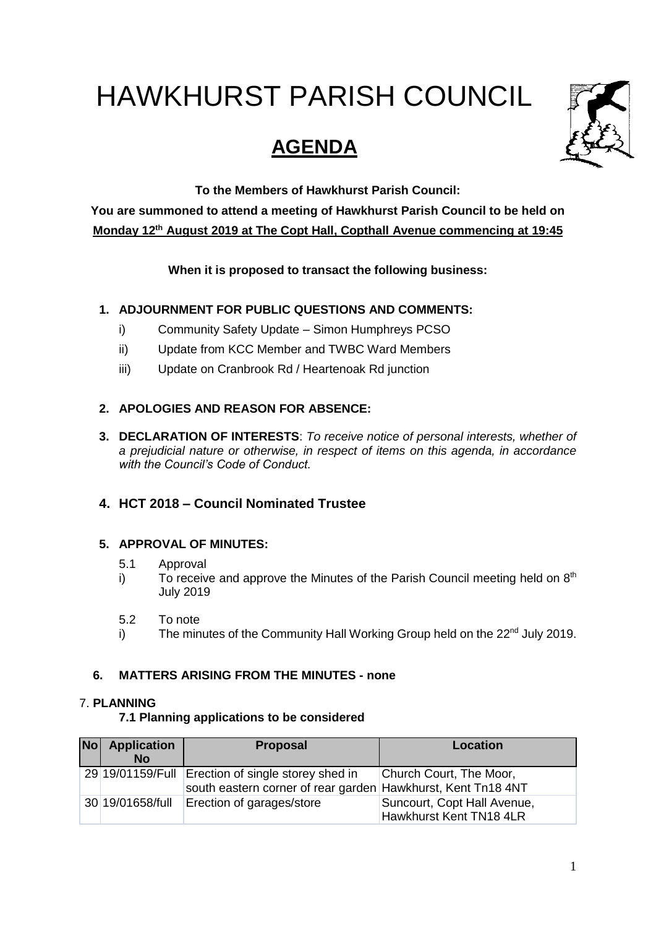# HAWKHURST PARISH COUNCIL

# **AGENDA**



**To the Members of Hawkhurst Parish Council:**

**You are summoned to attend a meeting of Hawkhurst Parish Council to be held on Monday 12th August 2019 at The Copt Hall, Copthall Avenue commencing at 19:45**

**When it is proposed to transact the following business:**

# **1. ADJOURNMENT FOR PUBLIC QUESTIONS AND COMMENTS:**

- i) Community Safety Update Simon Humphreys PCSO
- ii) Update from KCC Member and TWBC Ward Members
- iii) Update on Cranbrook Rd / Heartenoak Rd junction

## **2. APOLOGIES AND REASON FOR ABSENCE:**

**3. DECLARATION OF INTERESTS**: *To receive notice of personal interests, whether of a prejudicial nature or otherwise, in respect of items on this agenda, in accordance with the Council's Code of Conduct.*

# **4. HCT 2018 – Council Nominated Trustee**

#### **5. APPROVAL OF MINUTES:**

- 5.1 Approval
- i) To receive and approve the Minutes of the Parish Council meeting held on  $8<sup>th</sup>$ July 2019
- 5.2 To note
- i) The minutes of the Community Hall Working Group held on the  $22<sup>nd</sup>$  July 2019.

#### **6. MATTERS ARISING FROM THE MINUTES - none**

#### 7. **PLANNING**

#### **7.1 Planning applications to be considered**

| <b>No</b> | <b>Application</b><br><b>No</b> | Proposal                                                                                                           | Location                                               |
|-----------|---------------------------------|--------------------------------------------------------------------------------------------------------------------|--------------------------------------------------------|
|           |                                 | 29 19/01159/Full Erection of single storey shed in<br>south eastern corner of rear garden Hawkhurst, Kent Tn18 4NT | Church Court, The Moor,                                |
|           | 30 19/01658/full                | Erection of garages/store                                                                                          | Suncourt, Copt Hall Avenue,<br>Hawkhurst Kent TN18 4LR |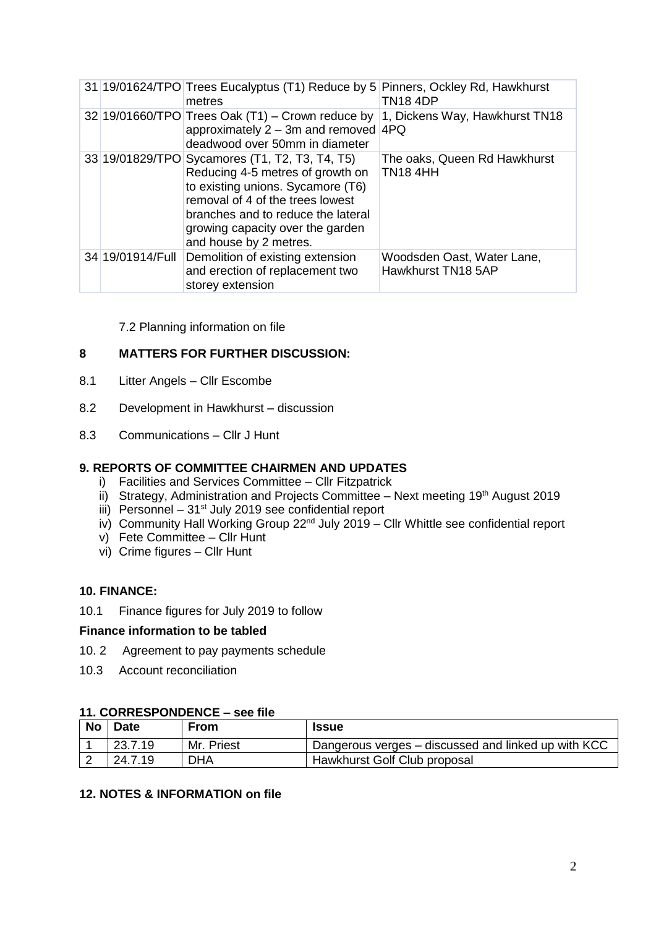|                  | 31 19/01624/TPO Trees Eucalyptus (T1) Reduce by 5 Pinners, Ockley Rd, Hawkhurst<br>metres                                                                                                                                                                       | <b>TN18 4DP</b>                                  |
|------------------|-----------------------------------------------------------------------------------------------------------------------------------------------------------------------------------------------------------------------------------------------------------------|--------------------------------------------------|
|                  | $32 19/01660/TPO$ Trees Oak (T1) – Crown reduce by<br>approximately $2 - 3m$ and removed $4PQ$<br>deadwood over 50mm in diameter                                                                                                                                | 1, Dickens Way, Hawkhurst TN18                   |
|                  | 33 19/01829/TPO Sycamores (T1, T2, T3, T4, T5)<br>Reducing 4-5 metres of growth on<br>to existing unions. Sycamore (T6)<br>removal of 4 of the trees lowest<br>branches and to reduce the lateral<br>growing capacity over the garden<br>and house by 2 metres. | The oaks, Queen Rd Hawkhurst<br><b>TN184HH</b>   |
| 34 19/01914/Full | Demolition of existing extension<br>and erection of replacement two<br>storey extension                                                                                                                                                                         | Woodsden Oast, Water Lane,<br>Hawkhurst TN18 5AP |

7.2 Planning information on file

### **8 MATTERS FOR FURTHER DISCUSSION:**

- 8.1 Litter Angels Cllr Escombe
- 8.2 Development in Hawkhurst discussion
- 8.3 Communications Cllr J Hunt

#### **9. REPORTS OF COMMITTEE CHAIRMEN AND UPDATES**

- i) Facilities and Services Committee Cllr Fitzpatrick
- ii) Strategy, Administration and Projects Committee Next meeting 19<sup>th</sup> August 2019
- iii) Personnel 31<sup>st</sup> July 2019 see confidential report
- iv) Community Hall Working Group 22<sup>nd</sup> July 2019 Cllr Whittle see confidential report
- v) Fete Committee Cllr Hunt
- vi) Crime figures Cllr Hunt

#### **10. FINANCE:**

10.1 Finance figures for July 2019 to follow

#### **Finance information to be tabled**

- 10. 2 Agreement to pay payments schedule
- 10.3 Account reconciliation

#### **11. CORRESPONDENCE – see file**

| No | Date    | <b>From</b> | <b>Issue</b>                                        |
|----|---------|-------------|-----------------------------------------------------|
|    | 23.7.19 | Mr. Priest  | Dangerous verges – discussed and linked up with KCC |
| ∸  | 24.7.19 | <b>DHA</b>  | Hawkhurst Golf Club proposal                        |

#### **12. NOTES & INFORMATION on file**